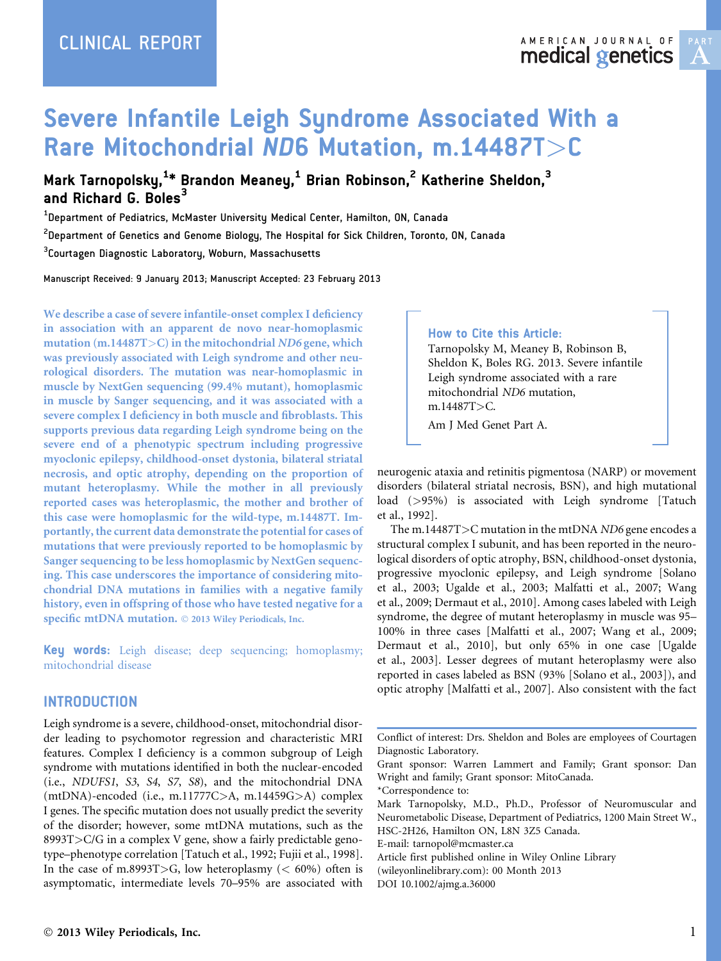# Severe Infantile Leigh Syndrome Associated With a Rare Mitochondrial ND6 Mutation, m.14487T>C

Mark Tarnopolsky,<sup>1</sup>\* Brandon Meaney,<sup>1</sup> Brian Robinson,<sup>2</sup> Katherine Sheldon,<sup>3</sup> and Richard G. Boles $^3$ 

 $^{\rm 1}$ Department of Pediatrics, McMaster University Medical Center, Hamilton, ON, Canada

 $^{\text{2}}$ Department of Genetics and Genome Biology, The Hospital for Sick Children, Toronto, ON, Canada

 $^3$ Courtagen Diagnostic Laboratory, Woburn, Massachusetts

Manuscript Received: 9 January 2013; Manuscript Accepted: 23 February 2013

We describe a case of severe infantile-onset complex I deficiency in association with an apparent de novo near-homoplasmic mutation (m.14487T>C) in the mitochondrial ND6 gene, which was previously associated with Leigh syndrome and other neurological disorders. The mutation was near-homoplasmic in muscle by NextGen sequencing (99.4% mutant), homoplasmic in muscle by Sanger sequencing, and it was associated with a severe complex I deficiency in both muscle and fibroblasts. This supports previous data regarding Leigh syndrome being on the severe end of a phenotypic spectrum including progressive myoclonic epilepsy, childhood-onset dystonia, bilateral striatal necrosis, and optic atrophy, depending on the proportion of mutant heteroplasmy. While the mother in all previously reported cases was heteroplasmic, the mother and brother of this case were homoplasmic for the wild-type, m.14487T. Importantly, the current data demonstrate the potential for cases of mutations that were previously reported to be homoplasmic by Sanger sequencing to be less homoplasmic by NextGen sequencing. This case underscores the importance of considering mitochondrial DNA mutations in families with a negative family history, even in offspring of those who have tested negative for a specific mtDNA mutation.  $©$  2013 Wiley Periodicals, Inc.

Key words: Leigh disease; deep sequencing; homoplasmy; mitochondrial disease

#### **INTRODUCTION**

Leigh syndrome is a severe, childhood-onset, mitochondrial disorder leading to psychomotor regression and characteristic MRI features. Complex I deficiency is a common subgroup of Leigh syndrome with mutations identified in both the nuclear-encoded (i.e., NDUFS1, S3, S4, S7, S8), and the mitochondrial DNA  $(mtDNA)$ -encoded (i.e., m.11777C $>$ A, m.14459G $>$ A) complex I genes. The specific mutation does not usually predict the severity of the disorder; however, some mtDNA mutations, such as the 8993T>C/G in a complex V gene, show a fairly predictable genotype–phenotype correlation [Tatuch et al., 1992; Fujii et al., 1998]. In the case of m.8993T>G, low heteroplasmy ( $< 60\%$ ) often is asymptomatic, intermediate levels 70–95% are associated with

#### How to Cite this Article:

Tarnopolsky M, Meaney B, Robinson B, Sheldon K, Boles RG. 2013. Severe infantile Leigh syndrome associated with a rare mitochondrial ND6 mutation, m.14487T>C.

Am J Med Genet Part A.

neurogenic ataxia and retinitis pigmentosa (NARP) or movement disorders (bilateral striatal necrosis, BSN), and high mutational load (>95%) is associated with Leigh syndrome [Tatuch et al., 1992].

The m.14487T>C mutation in the mtDNA ND6 gene encodes a structural complex I subunit, and has been reported in the neurological disorders of optic atrophy, BSN, childhood-onset dystonia, progressive myoclonic epilepsy, and Leigh syndrome [Solano et al., 2003; Ugalde et al., 2003; Malfatti et al., 2007; Wang et al., 2009; Dermaut et al., 2010]. Among cases labeled with Leigh syndrome, the degree of mutant heteroplasmy in muscle was 95– 100% in three cases [Malfatti et al., 2007; Wang et al., 2009; Dermaut et al., 2010], but only 65% in one case [Ugalde et al., 2003]. Lesser degrees of mutant heteroplasmy were also reported in cases labeled as BSN (93% [Solano et al., 2003]), and optic atrophy [Malfatti et al., 2007]. Also consistent with the fact

Conflict of interest: Drs. Sheldon and Boles are employees of Courtagen Diagnostic Laboratory.

Grant sponsor: Warren Lammert and Family; Grant sponsor: Dan Wright and family; Grant sponsor: MitoCanada.

\*Correspondence to: Mark Tarnopolsky, M.D., Ph.D., Professor of Neuromuscular and Neurometabolic Disease, Department of Pediatrics, 1200 Main Street W.,

HSC-2H26, Hamilton ON, L8N 3Z5 Canada.

E-mail: tarnopol@mcmaster.ca

Article first published online in Wiley Online Library (wileyonlinelibrary.com): 00 Month 2013 DOI 10.1002/ajmg.a.36000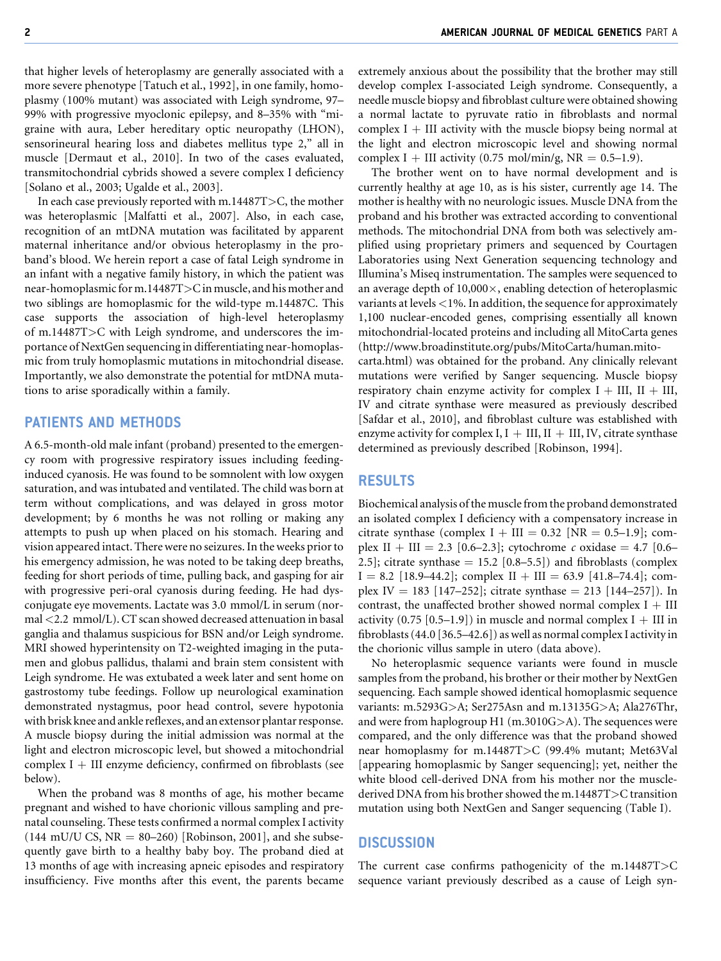that higher levels of heteroplasmy are generally associated with a more severe phenotype [Tatuch et al., 1992], in one family, homoplasmy (100% mutant) was associated with Leigh syndrome, 97– 99% with progressive myoclonic epilepsy, and 8–35% with "migraine with aura, Leber hereditary optic neuropathy (LHON), sensorineural hearing loss and diabetes mellitus type 2," all in muscle [Dermaut et al., 2010]. In two of the cases evaluated, transmitochondrial cybrids showed a severe complex I deficiency [Solano et al., 2003; Ugalde et al., 2003].

In each case previously reported with m.14487T>C, the mother was heteroplasmic [Malfatti et al., 2007]. Also, in each case, recognition of an mtDNA mutation was facilitated by apparent maternal inheritance and/or obvious heteroplasmy in the proband's blood. We herein report a case of fatal Leigh syndrome in an infant with a negative family history, in which the patient was near-homoplasmic for m.14487T>C in muscle, and his mother and two siblings are homoplasmic for the wild-type m.14487C. This case supports the association of high-level heteroplasmy of m.14487T>C with Leigh syndrome, and underscores the importance of NextGen sequencing in differentiating near-homoplasmic from truly homoplasmic mutations in mitochondrial disease. Importantly, we also demonstrate the potential for mtDNA mutations to arise sporadically within a family.

## PATIENTS AND METHODS

A 6.5-month-old male infant (proband) presented to the emergency room with progressive respiratory issues including feedinginduced cyanosis. He was found to be somnolent with low oxygen saturation, and was intubated and ventilated. The child was born at term without complications, and was delayed in gross motor development; by 6 months he was not rolling or making any attempts to push up when placed on his stomach. Hearing and vision appeared intact. There were no seizures. In the weeks prior to his emergency admission, he was noted to be taking deep breaths, feeding for short periods of time, pulling back, and gasping for air with progressive peri-oral cyanosis during feeding. He had dysconjugate eye movements. Lactate was 3.0 mmol/L in serum (normal <2.2 mmol/L). CT scan showed decreased attenuation in basal ganglia and thalamus suspicious for BSN and/or Leigh syndrome. MRI showed hyperintensity on T2-weighted imaging in the putamen and globus pallidus, thalami and brain stem consistent with Leigh syndrome. He was extubated a week later and sent home on gastrostomy tube feedings. Follow up neurological examination demonstrated nystagmus, poor head control, severe hypotonia with brisk knee and ankle reflexes, and an extensor plantar response. A muscle biopsy during the initial admission was normal at the light and electron microscopic level, but showed a mitochondrial complex  $I + III$  enzyme deficiency, confirmed on fibroblasts (see below).

When the proband was 8 months of age, his mother became pregnant and wished to have chorionic villous sampling and prenatal counseling. These tests confirmed a normal complex I activity  $(144 \text{ mU/U CS}, \text{NR} = 80-260)$  [Robinson, 2001], and she subsequently gave birth to a healthy baby boy. The proband died at 13 months of age with increasing apneic episodes and respiratory insufficiency. Five months after this event, the parents became

extremely anxious about the possibility that the brother may still develop complex I-associated Leigh syndrome. Consequently, a needle muscle biopsy and fibroblast culture were obtained showing a normal lactate to pyruvate ratio in fibroblasts and normal complex  $I + III$  activity with the muscle biopsy being normal at the light and electron microscopic level and showing normal complex I + III activity (0.75 mol/min/g,  $NR = 0.5-1.9$ ).

The brother went on to have normal development and is currently healthy at age 10, as is his sister, currently age 14. The mother is healthy with no neurologic issues. Muscle DNA from the proband and his brother was extracted according to conventional methods. The mitochondrial DNA from both was selectively amplified using proprietary primers and sequenced by Courtagen Laboratories using Next Generation sequencing technology and Illumina's Miseq instrumentation. The samples were sequenced to an average depth of  $10,000\times$ , enabling detection of heteroplasmic variants at levels <1%. In addition, the sequence for approximately 1,100 nuclear-encoded genes, comprising essentially all known mitochondrial-located proteins and including all MitoCarta genes (http://www.broadinstitute.org/pubs/MitoCarta/human.mito-

carta.html) was obtained for the proband. Any clinically relevant mutations were verified by Sanger sequencing. Muscle biopsy respiratory chain enzyme activity for complex  $I + III$ ,  $II + III$ , IV and citrate synthase were measured as previously described [Safdar et al., 2010], and fibroblast culture was established with enzyme activity for complex I,  $I + III$ ,  $II + III$ , IV, citrate synthase determined as previously described [Robinson, 1994].

## RESULTS

Biochemical analysis of the muscle from the proband demonstrated an isolated complex I deficiency with a compensatory increase in citrate synthase (complex  $I + III = 0.32$  [NR = 0.5–1.9]; complex II + III = 2.3 [0.6–2.3]; cytochrome c oxidase = 4.7 [0.6– 2.5]; citrate synthase  $= 15.2$  [0.8–5.5]) and fibroblasts (complex  $I = 8.2$  [18.9–44.2]; complex  $II + III = 63.9$  [41.8–74.4]; complex IV = 183 [147–252]; citrate synthase = 213 [144–257]). In contrast, the unaffected brother showed normal complex  $I + III$ activity  $(0.75 \, [0.5-1.9])$  in muscle and normal complex I  $+$  III in fibroblasts (44.0 [36.5–42.6]) as well as normal complex I activity in the chorionic villus sample in utero (data above).

No heteroplasmic sequence variants were found in muscle samples from the proband, his brother or their mother by NextGen sequencing. Each sample showed identical homoplasmic sequence variants: m.5293G>A; Ser275Asn and m.13135G>A; Ala276Thr, and were from haplogroup H1 (m.3010G>A). The sequences were compared, and the only difference was that the proband showed near homoplasmy for m.14487T>C (99.4% mutant; Met63Val [appearing homoplasmic by Sanger sequencing]; yet, neither the white blood cell-derived DNA from his mother nor the musclederived DNA from his brother showed the m.14487T>C transition mutation using both NextGen and Sanger sequencing (Table I).

## **DISCUSSION**

The current case confirms pathogenicity of the m.14487T>C sequence variant previously described as a cause of Leigh syn-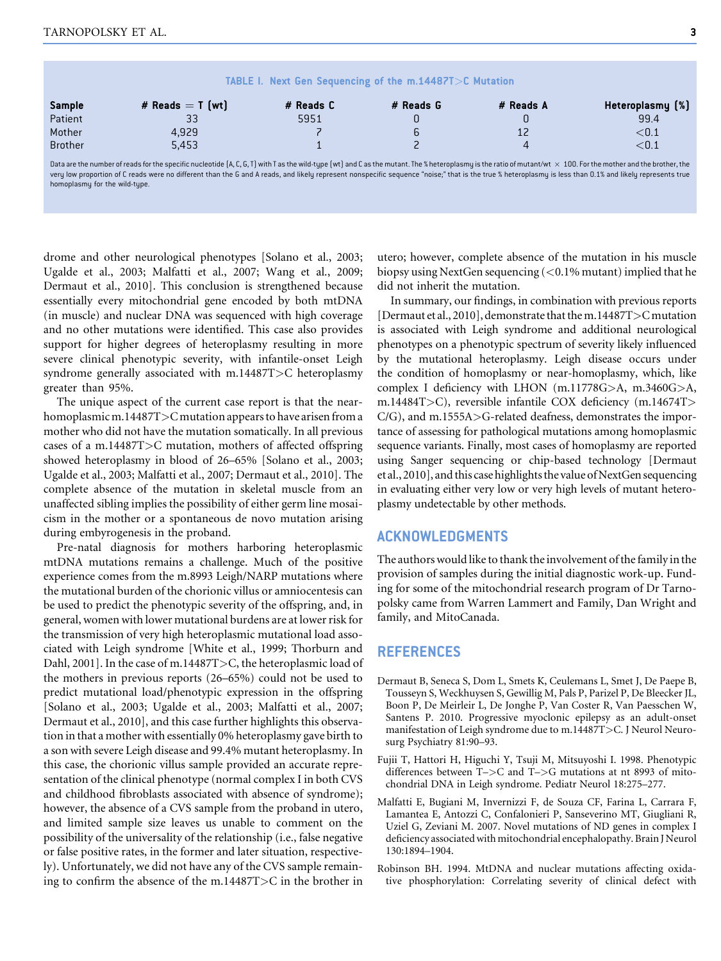|                |                                                                                                                                                                                                                                 | TABLE I. Next Gen Sequencing of the m.14487T>C Mutation |           |           |                  |
|----------------|---------------------------------------------------------------------------------------------------------------------------------------------------------------------------------------------------------------------------------|---------------------------------------------------------|-----------|-----------|------------------|
| <b>Sample</b>  | # Reads $=$ T [wt]                                                                                                                                                                                                              | # Reads C                                               | # Reads G | # Reads A | Heteroplasmy [%] |
| Patient        | 33                                                                                                                                                                                                                              | 5951                                                    |           |           | 99.4             |
| Mother         | 4.929                                                                                                                                                                                                                           |                                                         |           |           | ${<}0.1$         |
| <b>Brother</b> | 5.453                                                                                                                                                                                                                           |                                                         |           |           | ${<}0.1$         |
|                | Data are the number of reads for the specific pucleotide $\Lambda$ C. C. T) with T as the wild tupe (wt) and C as the mutant. The $%$ beteroplasmu is the aratio of mutant (wt. $\sim$ 100. For the mother and the brother, the |                                                         |           |           |                  |

Data are the number of reads for the specific nucleotide (A, C, G, T) with T as the wild-type (wt) and C as the mutant. The % heteroplasmy is the ratio of mutant/wt  $\,\times\,$ Data are the number of reads for the specific nucleotide (A, C, G, T) with T as the wild-type (wt) and C as the mutant. The % heteroplasmy is the ratio of mutant/wt × 100. For the mother and the brother, the<br>very low prop homoplasmu for the wild-tupe.

drome and other neurological phenotypes [Solano et al., 2003; Ugalde et al., 2003; Malfatti et al., 2007; Wang et al., 2009; Dermaut et al., 2010]. This conclusion is strengthened because essentially every mitochondrial gene encoded by both mtDNA (in muscle) and nuclear DNA was sequenced with high coverage and no other mutations were identified. This case also provides support for higher degrees of heteroplasmy resulting in more severe clinical phenotypic severity, with infantile-onset Leigh syndrome generally associated with m.14487T>C heteroplasmy greater than 95%.

The unique aspect of the current case report is that the nearhomoplasmic m.14487T>C mutation appears to have arisen from a mother who did not have the mutation somatically. In all previous cases of a m.14487T>C mutation, mothers of affected offspring showed heteroplasmy in blood of 26–65% [Solano et al., 2003; Ugalde et al., 2003; Malfatti et al., 2007; Dermaut et al., 2010]. The complete absence of the mutation in skeletal muscle from an unaffected sibling implies the possibility of either germ line mosaicism in the mother or a spontaneous de novo mutation arising during embyrogenesis in the proband.

Pre-natal diagnosis for mothers harboring heteroplasmic mtDNA mutations remains a challenge. Much of the positive experience comes from the m.8993 Leigh/NARP mutations where the mutational burden of the chorionic villus or amniocentesis can be used to predict the phenotypic severity of the offspring, and, in general, women with lower mutational burdens are at lower risk for the transmission of very high heteroplasmic mutational load associated with Leigh syndrome [White et al., 1999; Thorburn and Dahl, 2001]. In the case of m.14487T>C, the heteroplasmic load of the mothers in previous reports (26–65%) could not be used to predict mutational load/phenotypic expression in the offspring [Solano et al., 2003; Ugalde et al., 2003; Malfatti et al., 2007; Dermaut et al., 2010], and this case further highlights this observation in that a mother with essentially 0% heteroplasmy gave birth to a son with severe Leigh disease and 99.4% mutant heteroplasmy. In this case, the chorionic villus sample provided an accurate representation of the clinical phenotype (normal complex I in both CVS and childhood fibroblasts associated with absence of syndrome); however, the absence of a CVS sample from the proband in utero, and limited sample size leaves us unable to comment on the possibility of the universality of the relationship (i.e., false negative or false positive rates, in the former and later situation, respectively). Unfortunately, we did not have any of the CVS sample remaining to confirm the absence of the m.14487T>C in the brother in

utero; however, complete absence of the mutation in his muscle biopsy using NextGen sequencing (<0.1% mutant) implied that he did not inherit the mutation.

In summary, our findings, in combination with previous reports [Dermaut et al., 2010], demonstrate that them.14487T>Cmutation is associated with Leigh syndrome and additional neurological phenotypes on a phenotypic spectrum of severity likely influenced by the mutational heteroplasmy. Leigh disease occurs under the condition of homoplasmy or near-homoplasmy, which, like complex I deficiency with LHON (m.11778G>A, m.3460G>A, m.14484T>C), reversible infantile COX deficiency (m.14674T> C/G), and m.1555A>G-related deafness, demonstrates the importance of assessing for pathological mutations among homoplasmic sequence variants. Finally, most cases of homoplasmy are reported using Sanger sequencing or chip-based technology [Dermaut et al., 2010], and this case highlights the value of NextGen sequencing in evaluating either very low or very high levels of mutant heteroplasmy undetectable by other methods.

## ACKNOWLEDGMENTS

The authors would like to thank the involvement of the family in the provision of samples during the initial diagnostic work-up. Funding for some of the mitochondrial research program of Dr Tarnopolsky came from Warren Lammert and Family, Dan Wright and family, and MitoCanada.

#### REFERENCES

- Dermaut B, Seneca S, Dom L, Smets K, Ceulemans L, Smet J, De Paepe B, Tousseyn S, Weckhuysen S, Gewillig M, Pals P, Parizel P, De Bleecker JL, Boon P, De Meirleir L, De Jonghe P, Van Coster R, Van Paesschen W, Santens P. 2010. Progressive myoclonic epilepsy as an adult-onset manifestation of Leigh syndrome due to m.14487T>C. J Neurol Neurosurg Psychiatry 81:90–93.
- Fujii T, Hattori H, Higuchi Y, Tsuji M, Mitsuyoshi I. 1998. Phenotypic differences between T–>C and T–>G mutations at nt 8993 of mitochondrial DNA in Leigh syndrome. Pediatr Neurol 18:275–277.
- Malfatti E, Bugiani M, Invernizzi F, de Souza CF, Farina L, Carrara F, Lamantea E, Antozzi C, Confalonieri P, Sanseverino MT, Giugliani R, Uziel G, Zeviani M. 2007. Novel mutations of ND genes in complex I deficiency associated with mitochondrial encephalopathy. Brain J Neurol 130:1894–1904.
- Robinson BH. 1994. MtDNA and nuclear mutations affecting oxidative phosphorylation: Correlating severity of clinical defect with